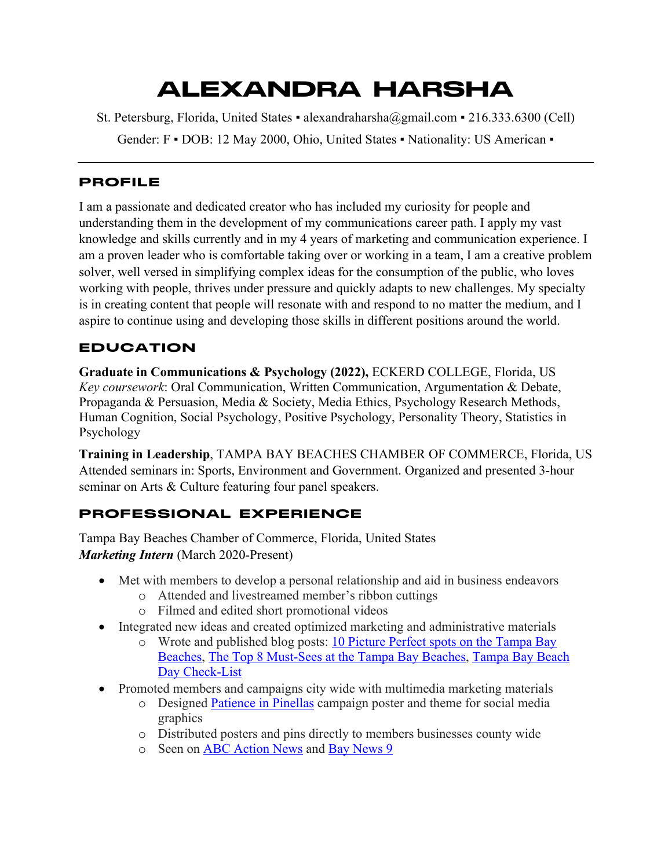# ALEXANDRA HARSHA

St. Petersburg, Florida, United States ▪ alexandraharsha@gmail.com ▪ 216.333.6300 (Cell)

Gender: F • DOB: 12 May 2000, Ohio, United States • Nationality: US American •

#### PROFILE

I am a passionate and dedicated creator who has included my curiosity for people and understanding them in the development of my communications career path. I apply my vast knowledge and skills currently and in my 4 years of marketing and communication experience. I am a proven leader who is comfortable taking over or working in a team, I am a creative problem solver, well versed in simplifying complex ideas for the consumption of the public, who loves working with people, thrives under pressure and quickly adapts to new challenges. My specialty is in creating content that people will resonate with and respond to no matter the medium, and I aspire to continue using and developing those skills in different positions around the world.

# EDUCATION

**Graduate in Communications & Psychology (2022),** ECKERD COLLEGE, Florida, US *Key coursework*: Oral Communication, Written Communication, Argumentation & Debate, Propaganda & Persuasion, Media & Society, Media Ethics, Psychology Research Methods, Human Cognition, Social Psychology, Positive Psychology, Personality Theory, Statistics in Psychology

**Training in Leadership**, TAMPA BAY BEACHES CHAMBER OF COMMERCE, Florida, US Attended seminars in: Sports, Environment and Government. Organized and presented 3-hour seminar on Arts & Culture featuring four panel speakers.

# PROFESSIONAL EXPERIENCE

Tampa Bay Beaches Chamber of Commerce, Florida, United States *Marketing Intern* (March 2020-Present)

- Met with members to develop a personal relationship and aid in business endeavors
	- o Attended and livestreamed member's ribbon cuttings
	- o Filmed and edited short promotional videos
- Integrated new ideas and created optimized marketing and administrative materials
	- o Wrote and published blog posts: 10 Picture Perfect spots on the Tampa Bay Beaches, The Top 8 Must-Sees at the Tampa Bay Beaches, Tampa Bay Beach Day Check-List
- Promoted members and campaigns city wide with multimedia marketing materials
	- o Designed Patience in Pinellas campaign poster and theme for social media graphics
	- o Distributed posters and pins directly to members businesses county wide
	- o Seen on ABC Action News and Bay News 9